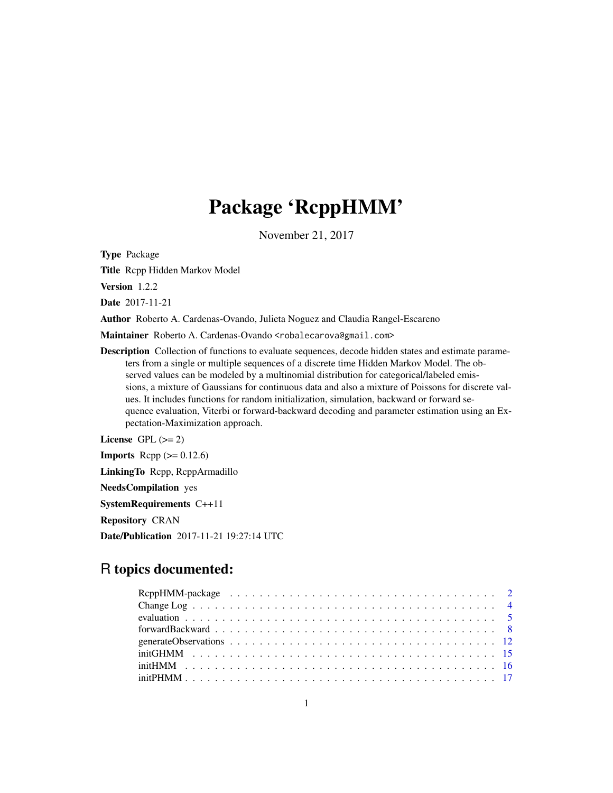# Package 'RcppHMM'

November 21, 2017

<span id="page-0-0"></span>Type Package

Title Rcpp Hidden Markov Model

Version 1.2.2

Date 2017-11-21

Author Roberto A. Cardenas-Ovando, Julieta Noguez and Claudia Rangel-Escareno

Maintainer Roberto A. Cardenas-Ovando <robalecarova@gmail.com>

Description Collection of functions to evaluate sequences, decode hidden states and estimate parameters from a single or multiple sequences of a discrete time Hidden Markov Model. The observed values can be modeled by a multinomial distribution for categorical/labeled emissions, a mixture of Gaussians for continuous data and also a mixture of Poissons for discrete values. It includes functions for random initialization, simulation, backward or forward sequence evaluation, Viterbi or forward-backward decoding and parameter estimation using an Expectation-Maximization approach.

License GPL  $(>= 2)$ 

**Imports** Rcpp  $(>= 0.12.6)$ LinkingTo Rcpp, RcppArmadillo NeedsCompilation yes SystemRequirements C++11 Repository CRAN Date/Publication 2017-11-21 19:27:14 UTC

# R topics documented: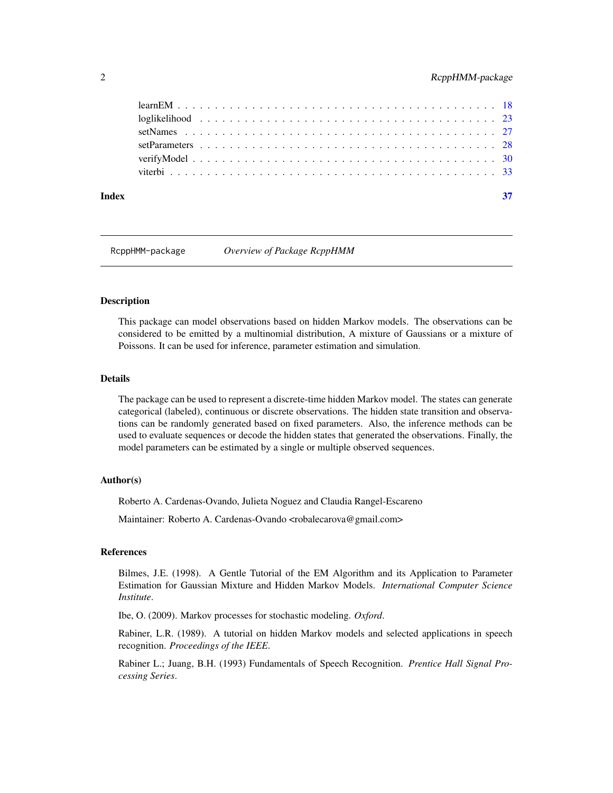<span id="page-1-0"></span>

| Index |  |  |  |  |  |  |  |  |  |  |  |  |  |  |  |  |  | 37 |
|-------|--|--|--|--|--|--|--|--|--|--|--|--|--|--|--|--|--|----|
|       |  |  |  |  |  |  |  |  |  |  |  |  |  |  |  |  |  |    |
|       |  |  |  |  |  |  |  |  |  |  |  |  |  |  |  |  |  |    |
|       |  |  |  |  |  |  |  |  |  |  |  |  |  |  |  |  |  |    |
|       |  |  |  |  |  |  |  |  |  |  |  |  |  |  |  |  |  |    |
|       |  |  |  |  |  |  |  |  |  |  |  |  |  |  |  |  |  |    |
|       |  |  |  |  |  |  |  |  |  |  |  |  |  |  |  |  |  |    |

RcppHMM-package *Overview of Package RcppHMM*

#### <span id="page-1-1"></span>Description

This package can model observations based on hidden Markov models. The observations can be considered to be emitted by a multinomial distribution, A mixture of Gaussians or a mixture of Poissons. It can be used for inference, parameter estimation and simulation.

# Details

The package can be used to represent a discrete-time hidden Markov model. The states can generate categorical (labeled), continuous or discrete observations. The hidden state transition and observations can be randomly generated based on fixed parameters. Also, the inference methods can be used to evaluate sequences or decode the hidden states that generated the observations. Finally, the model parameters can be estimated by a single or multiple observed sequences.

#### Author(s)

Roberto A. Cardenas-Ovando, Julieta Noguez and Claudia Rangel-Escareno

Maintainer: Roberto A. Cardenas-Ovando <robalecarova@gmail.com>

#### References

Bilmes, J.E. (1998). A Gentle Tutorial of the EM Algorithm and its Application to Parameter Estimation for Gaussian Mixture and Hidden Markov Models. *International Computer Science Institute*.

Ibe, O. (2009). Markov processes for stochastic modeling. *Oxford*.

Rabiner, L.R. (1989). A tutorial on hidden Markov models and selected applications in speech recognition. *Proceedings of the IEEE*.

Rabiner L.; Juang, B.H. (1993) Fundamentals of Speech Recognition. *Prentice Hall Signal Processing Series*.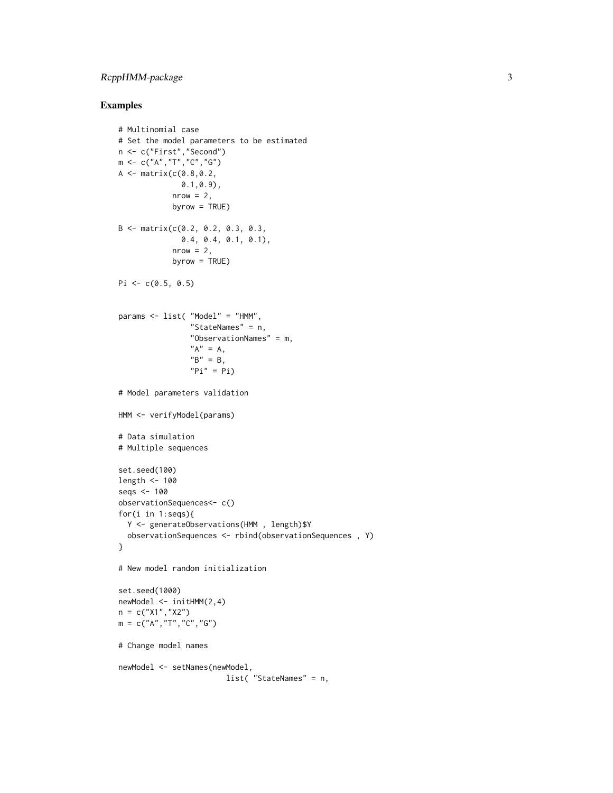# RcppHMM-package 3

```
# Multinomial case
# Set the model parameters to be estimated
n <- c("First","Second")
m <- c("A","T","C","G")
A \leq - matrix(c(0.8, 0.2,0.1,0.9),
            nrow = 2,
            byrow = TRUE)
B <- matrix(c(0.2, 0.2, 0.3, 0.3,
              0.4, 0.4, 0.1, 0.1),
            nrow = 2,byrow = TRUE)
Pi \leq c(0.5, 0.5)params <- list( "Model" = "HMM",
                "StateNames" = n,
                "ObservationNames" = m,
                "A" = A,"B" = B,"Pi" = Pi)# Model parameters validation
HMM <- verifyModel(params)
# Data simulation
# Multiple sequences
set.seed(100)
length <- 100
seqs <- 100
observationSequences<- c()
for(i in 1:seqs){
  Y <- generateObservations(HMM , length)$Y
  observationSequences <- rbind(observationSequences , Y)
}
# New model random initialization
set.seed(1000)
newModel <- initHMM(2,4)
n = c("X1", "X2")m = c("A", "T", "C", "G")# Change model names
newModel <- setNames(newModel,
                        list( "StateNames" = n,
```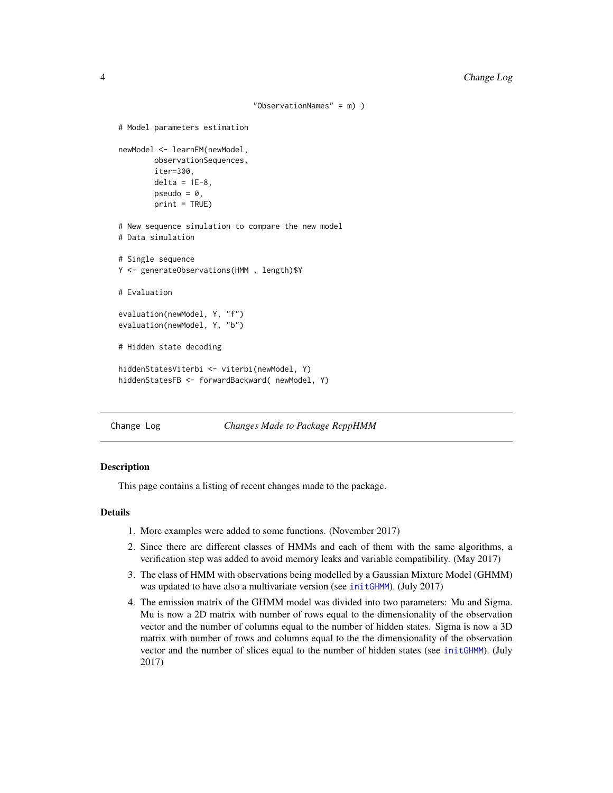```
"ObservationNames" = m) )
# Model parameters estimation
newModel <- learnEM(newModel,
       observationSequences,
        iter=300,
        delta = 1E-8,
        pseudo = 0,
        print = TRUE)
# New sequence simulation to compare the new model
# Data simulation
# Single sequence
Y <- generateObservations(HMM , length)$Y
# Evaluation
evaluation(newModel, Y, "f")
evaluation(newModel, Y, "b")
# Hidden state decoding
hiddenStatesViterbi <- viterbi(newModel, Y)
hiddenStatesFB <- forwardBackward( newModel, Y)
```
Change Log *Changes Made to Package RcppHMM*

### Description

This page contains a listing of recent changes made to the package.

# Details

- 1. More examples were added to some functions. (November 2017)
- 2. Since there are different classes of HMMs and each of them with the same algorithms, a verification step was added to avoid memory leaks and variable compatibility. (May 2017)
- 3. The class of HMM with observations being modelled by a Gaussian Mixture Model (GHMM) was updated to have also a multivariate version (see [initGHMM](#page-14-1)). (July 2017)
- 4. The emission matrix of the GHMM model was divided into two parameters: Mu and Sigma. Mu is now a 2D matrix with number of rows equal to the dimensionality of the observation vector and the number of columns equal to the number of hidden states. Sigma is now a 3D matrix with number of rows and columns equal to the the dimensionality of the observation vector and the number of slices equal to the number of hidden states (see [initGHMM](#page-14-1)). (July 2017)

<span id="page-3-0"></span>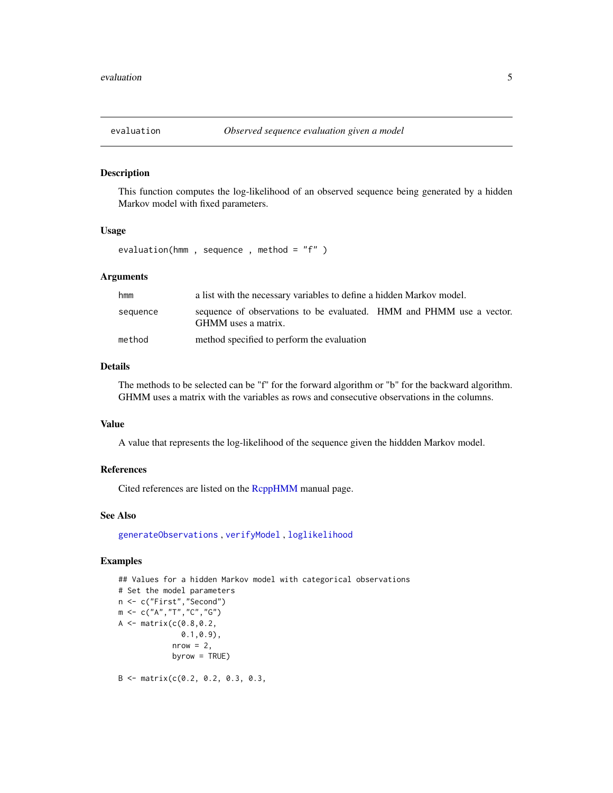<span id="page-4-1"></span><span id="page-4-0"></span>

#### Description

This function computes the log-likelihood of an observed sequence being generated by a hidden Markov model with fixed parameters.

# Usage

evaluation(hmm , sequence , method = "f" )

# Arguments

| hmm      | a list with the necessary variables to define a hidden Markov model.                        |  |
|----------|---------------------------------------------------------------------------------------------|--|
| sequence | sequence of observations to be evaluated. HMM and PHMM use a vector.<br>GHMM uses a matrix. |  |
| method   | method specified to perform the evaluation                                                  |  |

# Details

The methods to be selected can be "f" for the forward algorithm or "b" for the backward algorithm. GHMM uses a matrix with the variables as rows and consecutive observations in the columns.

# Value

A value that represents the log-likelihood of the sequence given the hiddden Markov model.

#### References

Cited references are listed on the [RcppHMM](#page-1-1) manual page.

#### See Also

[generateObservations](#page-11-1) , [verifyModel](#page-29-1) , [loglikelihood](#page-22-1)

# Examples

```
## Values for a hidden Markov model with categorical observations
# Set the model parameters
n <- c("First","Second")
m \leq C("A", "T", "C", "G")A <- matrix(c(0.8,0.2,
              0.1,0.9),
            nrow = 2,
            byrow = TRUE)
```
 $B \leq -$  matrix(c(0.2, 0.2, 0.3, 0.3,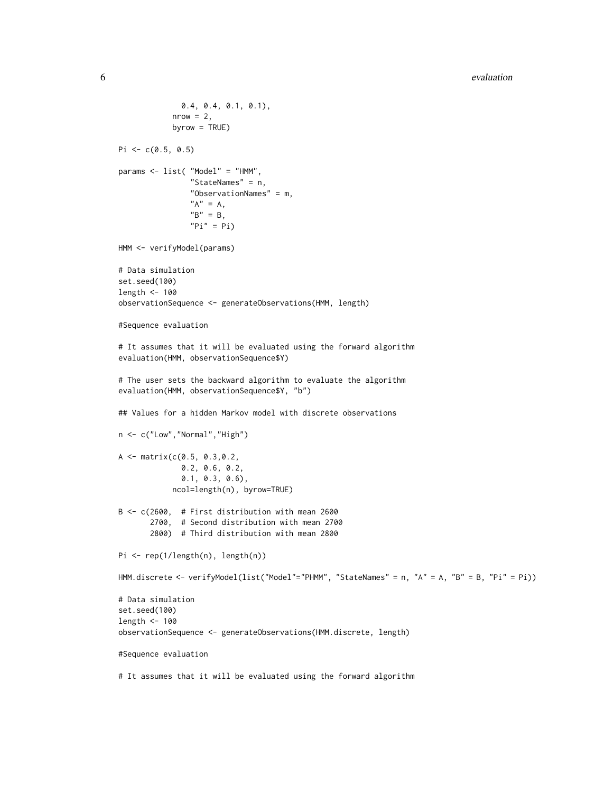```
0.4, 0.4, 0.1, 0.1),
            nrow = 2,
            byrow = TRUE)
Pi \leq c(0.5, 0.5)params <- list( "Model" = "HMM",
                "StateNames" = n,
                "ObservationNames" = m,
                "A" = A,"B" = B,"Pi" = Pi)HMM <- verifyModel(params)
# Data simulation
set.seed(100)
length <- 100
observationSequence <- generateObservations(HMM, length)
#Sequence evaluation
# It assumes that it will be evaluated using the forward algorithm
evaluation(HMM, observationSequence$Y)
# The user sets the backward algorithm to evaluate the algorithm
evaluation(HMM, observationSequence$Y, "b")
## Values for a hidden Markov model with discrete observations
n <- c("Low","Normal","High")
A \leftarrow matrix(c(0.5, 0.3, 0.2,0.2, 0.6, 0.2,
              0.1, 0.3, 0.6),
            ncol=length(n), byrow=TRUE)
B <- c(2600, # First distribution with mean 2600
       2700, # Second distribution with mean 2700
       2800) # Third distribution with mean 2800
Pi <- rep(1/length(n), length(n))
HMM.discrete <- verifyModel(list("Model"="PHMM", "StateNames" = n, "A" = A, "B" = B, "Pi" = Pi))
# Data simulation
set.seed(100)
length <- 100
observationSequence <- generateObservations(HMM.discrete, length)
#Sequence evaluation
# It assumes that it will be evaluated using the forward algorithm
```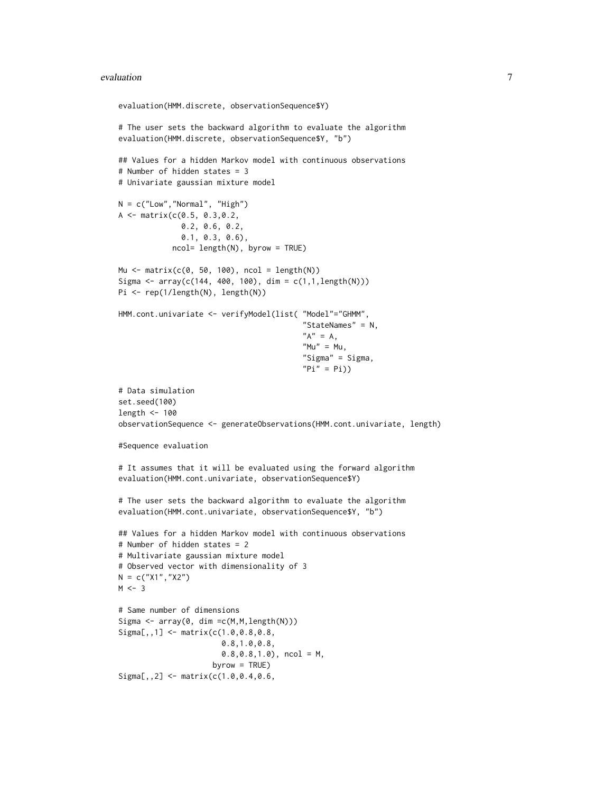#### evaluation 7 and 2008 and 2008 and 2008 and 2008 and 2008 and 2008 and 2008 and 2008 and 2008 and 2008 and 200

```
evaluation(HMM.discrete, observationSequence$Y)
# The user sets the backward algorithm to evaluate the algorithm
evaluation(HMM.discrete, observationSequence$Y, "b")
## Values for a hidden Markov model with continuous observations
# Number of hidden states = 3
# Univariate gaussian mixture model
N = c("Low", "Normal", "High")A <- matrix(c(0.5, 0.3,0.2,
              0.2, 0.6, 0.2,
              0.1, 0.3, 0.6),
            ncol= length(N), byrow = TRUE)
Mu <- matrix(c(0, 50, 100), ncol = length(N))
Sigma <- array(c(144, 400, 100), dim = c(1,1,length(N)))
Pi <- rep(1/length(N), length(N))
HMM.cont.univariate <- verifyModel(list( "Model"="GHMM",
                                          "StateNames" = N,
                                          "A" = A,
                                          M'' = Mu,
                                          "Sigma" = Sigma,
                                          "Pi" = Pi)# Data simulation
set.seed(100)
length <- 100
observationSequence <- generateObservations(HMM.cont.univariate, length)
#Sequence evaluation
# It assumes that it will be evaluated using the forward algorithm
evaluation(HMM.cont.univariate, observationSequence$Y)
# The user sets the backward algorithm to evaluate the algorithm
evaluation(HMM.cont.univariate, observationSequence$Y, "b")
## Values for a hidden Markov model with continuous observations
# Number of hidden states = 2
# Multivariate gaussian mixture model
# Observed vector with dimensionality of 3
N = c("X1", "X2")M < -3# Same number of dimensions
Sigma \leq array(0, dim = c(M, M, length(N)))
Sigma[,,1] <- matrix(c(1.0,0.8,0.8,
                       0.8,1.0,0.8,
                       0.8, 0.8, 1.0, ncol = M,
                     byrow = TRUE)
Signa[,, 2] <- matrix(c(1.0, 0.4, 0.6,
```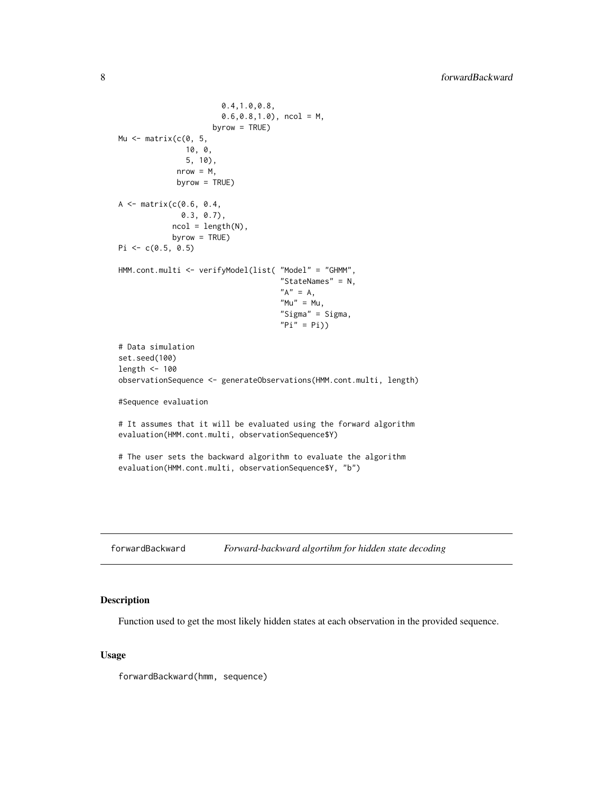```
0.4,1.0,0.8,
                       0.6, 0.8, 1.0, ncol = M,
                     byrow = TRUE)
Mu \leq matrix(c(0, 5, 5)10, 0,
               5, 10),
             nrow = M,
             byrow = TRUE)
A \leq - matrix(c(0.6, 0.4,
              0.3, 0.7),
            ncol = length(N),
            byrow = TRUE)
Pi \leq c(0.5, 0.5)
HMM.cont.multi <- verifyModel(list( "Model" = "GHMM",
                                     "StateNames" = N,
                                     "A" = A,"Mu" = Mu,"Sigma" = Sigma,
                                     "Pi" = Pi)# Data simulation
set.seed(100)
length <- 100
observationSequence <- generateObservations(HMM.cont.multi, length)
#Sequence evaluation
# It assumes that it will be evaluated using the forward algorithm
evaluation(HMM.cont.multi, observationSequence$Y)
# The user sets the backward algorithm to evaluate the algorithm
evaluation(HMM.cont.multi, observationSequence$Y, "b")
```
<span id="page-7-1"></span>

| forwardBackward | Forward-backward algortihm for hidden state decoding |  |
|-----------------|------------------------------------------------------|--|
|-----------------|------------------------------------------------------|--|

# Description

Function used to get the most likely hidden states at each observation in the provided sequence.

# Usage

forwardBackward(hmm, sequence)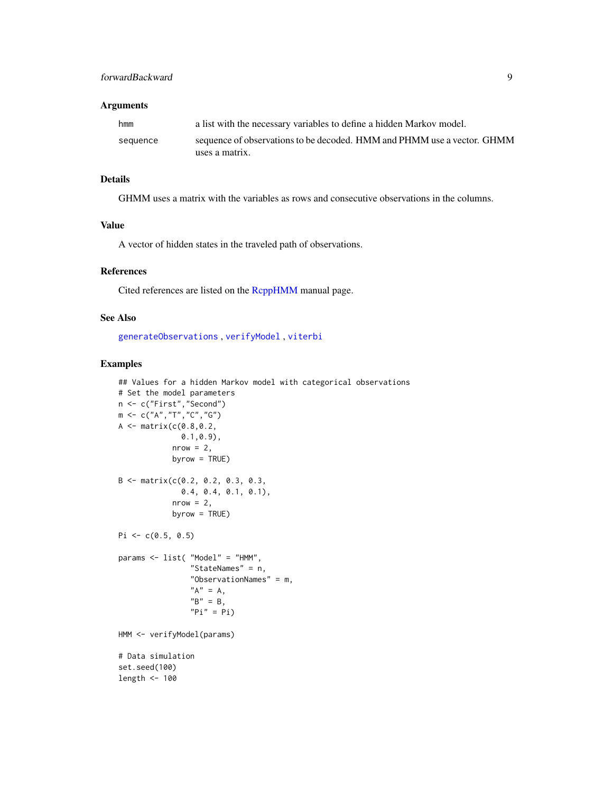# <span id="page-8-0"></span>Arguments

| hmm      | a list with the necessary variables to define a hidden Markov model.    |
|----------|-------------------------------------------------------------------------|
| sequence | sequence of observations to be decoded. HMM and PHMM use a vector. GHMM |
|          | uses a matrix.                                                          |

# Details

GHMM uses a matrix with the variables as rows and consecutive observations in the columns.

# Value

A vector of hidden states in the traveled path of observations.

#### References

Cited references are listed on the [RcppHMM](#page-1-1) manual page.

# See Also

[generateObservations](#page-11-1) , [verifyModel](#page-29-1) , [viterbi](#page-32-1)

```
## Values for a hidden Markov model with categorical observations
# Set the model parameters
n <- c("First","Second")
m \leq -c("A", "T", "C", "G")A \leq - matrix(c(0.8, 0.2,0.1,0.9),
            nrow = 2,
            byrow = TRUE)
B <- matrix(c(0.2, 0.2, 0.3, 0.3,
              0.4, 0.4, 0.1, 0.1),
            nrow = 2,
            byrow = TRUE)
Pi \leq c(0.5, 0.5)params <- list( "Model" = "HMM",
                "StateNames" = n,
                "ObservationNames" = m,
                "A" = A,"B" = B,"Pi" = Pi)HMM <- verifyModel(params)
# Data simulation
set.seed(100)
length <- 100
```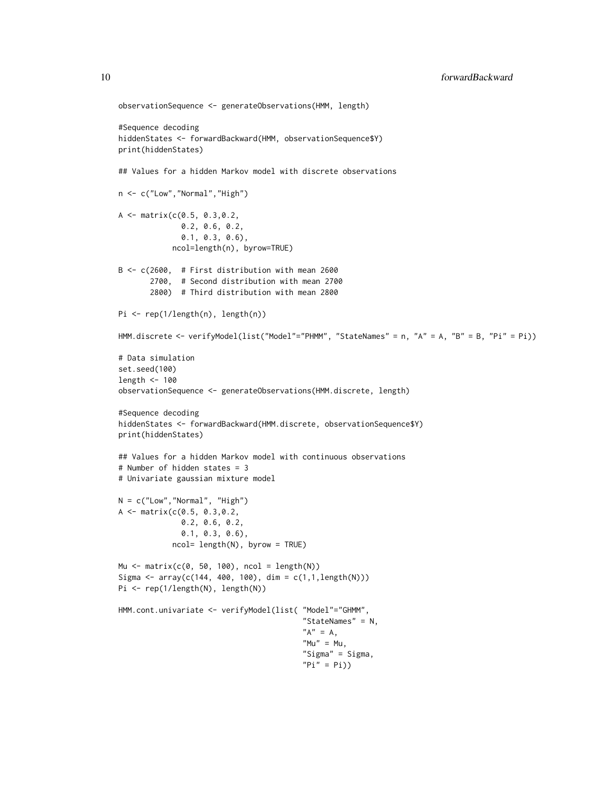```
observationSequence <- generateObservations(HMM, length)
#Sequence decoding
hiddenStates <- forwardBackward(HMM, observationSequence$Y)
print(hiddenStates)
## Values for a hidden Markov model with discrete observations
n <- c("Low","Normal","High")
A <- matrix(c(0.5, 0.3,0.2,
              0.2, 0.6, 0.2,
              0.1, 0.3, 0.6),
            ncol=length(n), byrow=TRUE)
B <- c(2600, # First distribution with mean 2600
       2700, # Second distribution with mean 2700
       2800) # Third distribution with mean 2800
Pi <- rep(1/length(n), length(n))
HMM.discrete <- verifyModel(list("Model"="PHMM", "StateNames" = n, "A" = A, "B" = B, "Pi" = Pi))
# Data simulation
set.seed(100)
length <- 100
observationSequence <- generateObservations(HMM.discrete, length)
#Sequence decoding
hiddenStates <- forwardBackward(HMM.discrete, observationSequence$Y)
print(hiddenStates)
## Values for a hidden Markov model with continuous observations
# Number of hidden states = 3
# Univariate gaussian mixture model
N = c("Low", "Normal", "High")A \leq - matrix(c(0.5, 0.3,0.2,
              0.2, 0.6, 0.2,
              0.1, 0.3, 0.6),
            ncol= length(N), byrow = TRUE)
Mu <- matrix(c(0, 50, 100), ncol = length(N))
Sigma <- array(c(144, 400, 100), dim = c(1,1,length(N)))
Pi <- rep(1/length(N), length(N))
HMM.cont.univariate <- verifyModel(list( "Model"="GHMM",
                                         "StateNames" = N,
                                         "A" = A,M'' = Mu,
                                         "Sigma" = Sigma,
                                         "Pi" = Pi))
```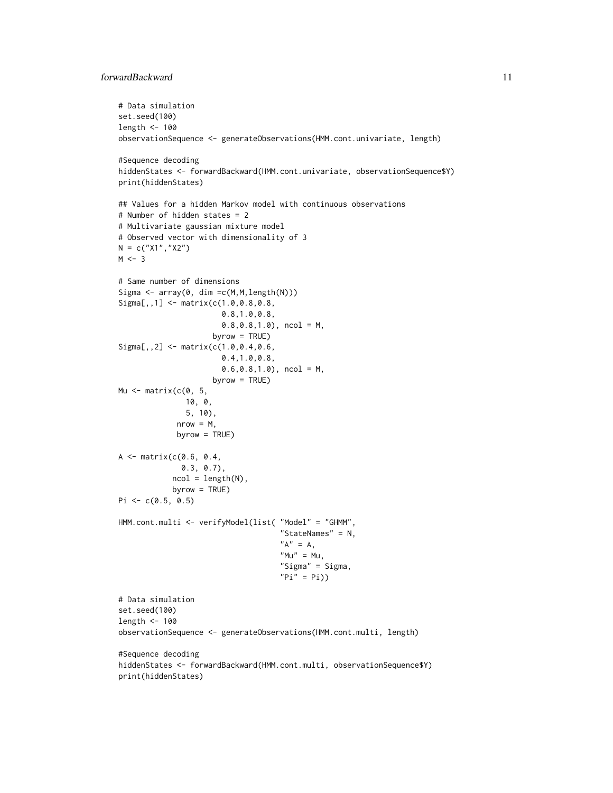# forwardBackward 11

```
# Data simulation
set.seed(100)
length <- 100
observationSequence <- generateObservations(HMM.cont.univariate, length)
#Sequence decoding
hiddenStates <- forwardBackward(HMM.cont.univariate, observationSequence$Y)
print(hiddenStates)
## Values for a hidden Markov model with continuous observations
# Number of hidden states = 2
# Multivariate gaussian mixture model
# Observed vector with dimensionality of 3
N = c("X1", "X2")M < -3# Same number of dimensions
Sigma <- array(0, dim =c(M,M,length(N)))
Sigma[,,1] <- matrix(c(1.0,0.8,0.8,
                       0.8,1.0,0.8,
                       0.8,0.8,1.0), ncol = M,
                     byrow = TRUE)
Sigma[,,2] <- matrix(c(1.0,0.4,0.6,
                       0.4,1.0,0.8,
                       0.6,0.8,1.0), ncol = M,
                     byrow = TRUE)
Mu \leq matrix(c(0, 5,
              10, 0,
               5, 10),
             nrow = M,
             byrow = TRUE)
A <- matrix(c(0.6, 0.4,
              0.3, 0.7),
            ncol = length(N),
            byrow = TRUE)
Pi \leq c(0.5, 0.5)HMM.cont.multi <- verifyModel(list( "Model" = "GHMM",
                                    "StateNames" = N,
                                    "A" = A,"Mu" = Mu,"Sigma" = Sigma,
                                    "Pi" = Pi)# Data simulation
set.seed(100)
length <- 100
observationSequence <- generateObservations(HMM.cont.multi, length)
#Sequence decoding
hiddenStates <- forwardBackward(HMM.cont.multi, observationSequence$Y)
print(hiddenStates)
```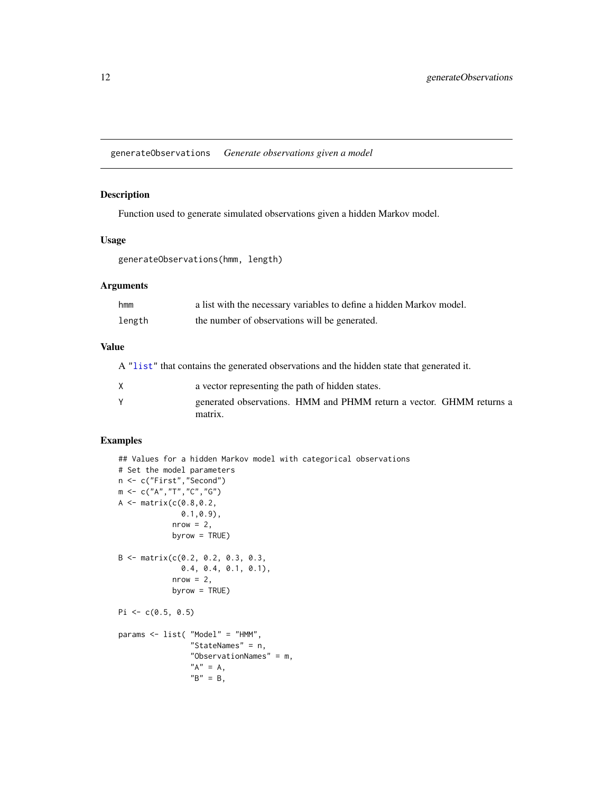<span id="page-11-1"></span><span id="page-11-0"></span>generateObservations *Generate observations given a model*

# Description

Function used to generate simulated observations given a hidden Markov model.

#### Usage

generateObservations(hmm, length)

# Arguments

| hmm    | a list with the necessary variables to define a hidden Markov model. |
|--------|----------------------------------------------------------------------|
| length | the number of observations will be generated.                        |

# Value

A ["list"](#page-0-0) that contains the generated observations and the hidden state that generated it.

| X | a vector representing the path of hidden states. |                                                                      |  |
|---|--------------------------------------------------|----------------------------------------------------------------------|--|
|   | matrix.                                          | generated observations. HMM and PHMM return a vector. GHMM returns a |  |

```
## Values for a hidden Markov model with categorical observations
# Set the model parameters
n <- c("First","Second")
m <- c("A","T","C","G")
A <- matrix(c(0.8,0.2,
              0.1,0.9),
            nrow = 2,
            byrow = TRUE)
B \le - matrix(c(0.2, 0.2, 0.3, 0.3,
              0.4, 0.4, 0.1, 0.1),
            nrow = 2,
            byrow = TRUE)
Pi \leq c(0.5, 0.5)params <- list( "Model" = "HMM",
                "StateNames" = n,
                "ObservationNames" = m,
                "A" = A,"B" = B,
```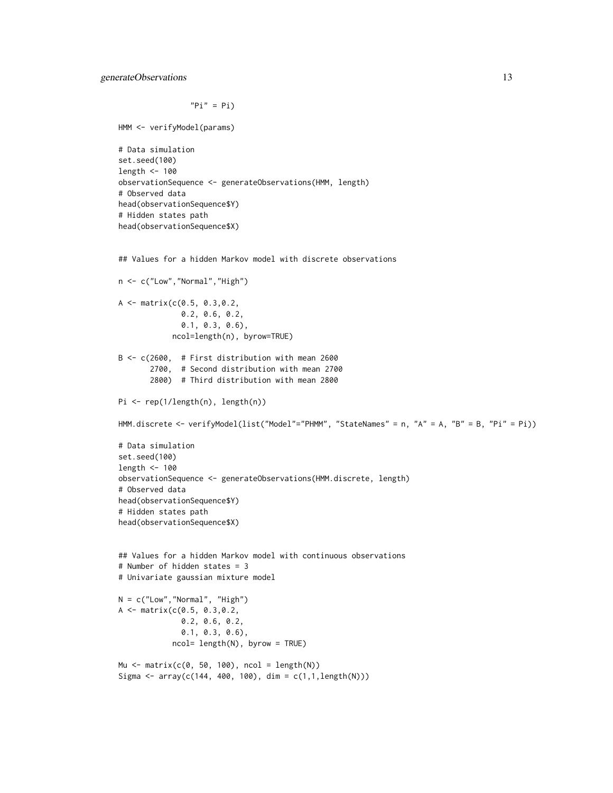```
"Pi" = Pi)
```
HMM <- verifyModel(params)

```
# Data simulation
set.seed(100)
length <- 100
observationSequence <- generateObservations(HMM, length)
# Observed data
head(observationSequence$Y)
# Hidden states path
head(observationSequence$X)
```

```
## Values for a hidden Markov model with discrete observations
n <- c("Low","Normal","High")
A <- matrix(c(0.5, 0.3,0.2,
              0.2, 0.6, 0.2,
              0.1, 0.3, 0.6),
            ncol=length(n), byrow=TRUE)
B <- c(2600, # First distribution with mean 2600
       2700, # Second distribution with mean 2700
       2800) # Third distribution with mean 2800
Pi <- rep(1/length(n), length(n))
HMM.discrete <- verifyModel(list("Model"="PHMM", "StateNames" = n, "A" = A, "B" = B, "Pi" = Pi))
# Data simulation
set.seed(100)
length <- 100
observationSequence <- generateObservations(HMM.discrete, length)
# Observed data
head(observationSequence$Y)
# Hidden states path
head(observationSequence$X)
## Values for a hidden Markov model with continuous observations
# Number of hidden states = 3
# Univariate gaussian mixture model
```

```
N = c("Low","Normal", "High")
A <- matrix(c(0.5, 0.3,0.2,
              0.2, 0.6, 0.2,
              0.1, 0.3, 0.6),
            ncol= length(N), byrow = TRUE)
Mu <- matrix(c(0, 50, 100), ncol = length(N))
```

```
Sigma \leq array(c(144, 400, 100), dim = c(1,1,length(N)))
```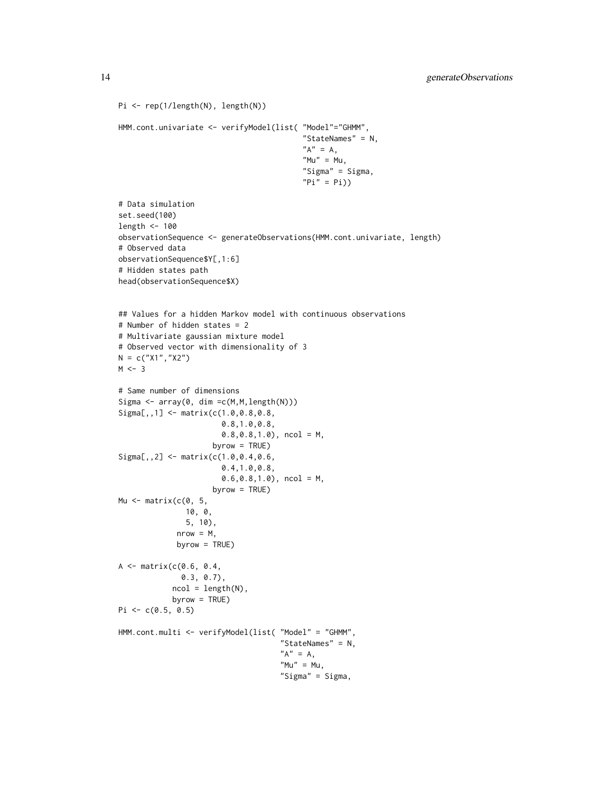```
Pi <- rep(1/length(N), length(N))
HMM.cont.univariate <- verifyModel(list( "Model"="GHMM",
                                          "StateNames" = N,
                                          "A" = A,M'''' = Mu,
                                          "Sigma" = Sigma,
                                          "Pi" = Pi)# Data simulation
set.seed(100)
length <- 100
observationSequence <- generateObservations(HMM.cont.univariate, length)
# Observed data
observationSequence$Y[,1:6]
# Hidden states path
head(observationSequence$X)
## Values for a hidden Markov model with continuous observations
# Number of hidden states = 2
# Multivariate gaussian mixture model
# Observed vector with dimensionality of 3
N = c("X1","X2")
M < -3# Same number of dimensions
Sigma \leq array(0, dim = c(M, M, length(N)))
Sigma[,,1] <- matrix(c(1.0,0.8,0.8,
                       0.8,1.0,0.8,
                       0.8,0.8,1.0), ncol = M,
                     byrow = TRUE)
Sigma[,,2] <- matrix(c(1.0,0.4,0.6,
                       0.4,1.0,0.8,
                       0.6, 0.8, 1.0, ncol = M,
                     byrow = TRUE)
Mu \leq matrix(c(0, 5,
               10, 0,
               5, 10),
             nrow = M,
             byrow = TRUE)
A <- matrix(c(0.6, 0.4,
              0.3, 0.7),
            ncol = length(N),
            byrow = TRUE)
Pi \leq c(0.5, 0.5)
HMM.cont.multi <- verifyModel(list( "Model" = "GHMM",
                                     "StateNames" = N,
                                     "A" = A,"Mu" = Mu,"Sigma" = Sigma,
```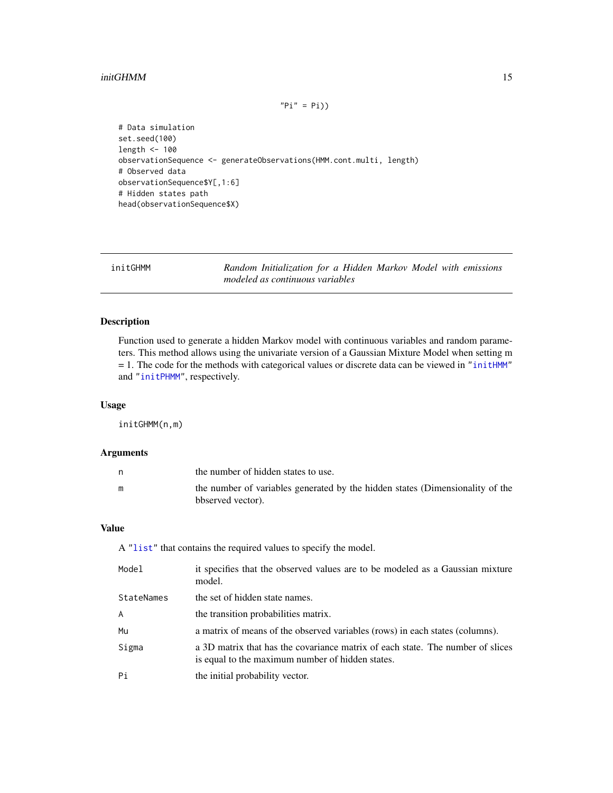#### <span id="page-14-0"></span>initGHMM 15

```
"Pi" = Pi)
```
# Data simulation set.seed(100) length <- 100 observationSequence <- generateObservations(HMM.cont.multi, length) # Observed data observationSequence\$Y[,1:6] # Hidden states path head(observationSequence\$X)

<span id="page-14-1"></span>

initGHMM *Random Initialization for a Hidden Markov Model with emissions modeled as continuous variables*

# Description

Function used to generate a hidden Markov model with continuous variables and random parameters. This method allows using the univariate version of a Gaussian Mixture Model when setting m  $= 1$ . The code for the methods with categorical values or discrete data can be viewed in ["initHMM"](#page-15-1) and ["initPHMM"](#page-16-1), respectively.

# Usage

initGHMM(n,m)

# Arguments

| the number of hidden states to use.                                                                |
|----------------------------------------------------------------------------------------------------|
| the number of variables generated by the hidden states (Dimensionality of the<br>bbserved vector). |

# Value

A ["list"](#page-0-0) that contains the required values to specify the model.

| Model      | it specifies that the observed values are to be modeled as a Gaussian mixture<br>model.                                            |
|------------|------------------------------------------------------------------------------------------------------------------------------------|
| StateNames | the set of hidden state names.                                                                                                     |
| A          | the transition probabilities matrix.                                                                                               |
| Mu         | a matrix of means of the observed variables (rows) in each states (columns).                                                       |
| Sigma      | a 3D matrix that has the covariance matrix of each state. The number of slices<br>is equal to the maximum number of hidden states. |
| Pi         | the initial probability vector.                                                                                                    |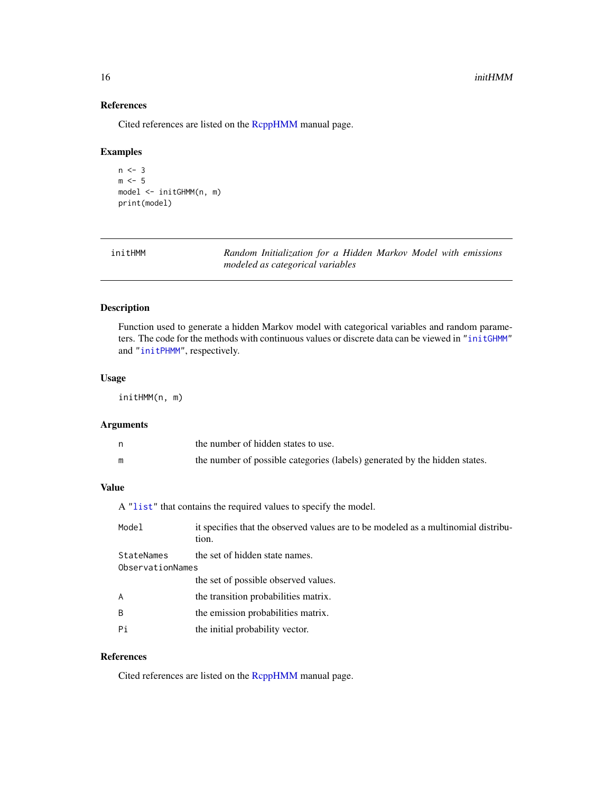#### 16 initHMM

# References

Cited references are listed on the [RcppHMM](#page-1-1) manual page.

# Examples

```
n < -3m \le -5model <- initGHMM(n, m)
print(model)
```
<span id="page-15-1"></span>

| initHMM | Random Initialization for a Hidden Markov Model with emissions |  |  |  |
|---------|----------------------------------------------------------------|--|--|--|
|         | modeled as categorical variables                               |  |  |  |

# Description

Function used to generate a hidden Markov model with categorical variables and random parameters. The code for the methods with continuous values or discrete data can be viewed in ["initGHMM"](#page-14-1) and ["initPHMM"](#page-16-1), respectively.

### Usage

initHMM(n, m)

# Arguments

| the number of hidden states to use.                                        |
|----------------------------------------------------------------------------|
| the number of possible categories (labels) generated by the hidden states. |

# Value

A ["list"](#page-0-0) that contains the required values to specify the model.

| Model                          | it specifies that the observed values are to be modeled as a multinomial distribu-<br>tion. |
|--------------------------------|---------------------------------------------------------------------------------------------|
| StateNames<br>ObservationNames | the set of hidden state names.                                                              |
|                                | the set of possible observed values.                                                        |
| $\overline{A}$                 | the transition probabilities matrix.                                                        |
| B                              | the emission probabilities matrix.                                                          |
| Pi                             | the initial probability vector.                                                             |

# References

Cited references are listed on the [RcppHMM](#page-1-1) manual page.

<span id="page-15-0"></span>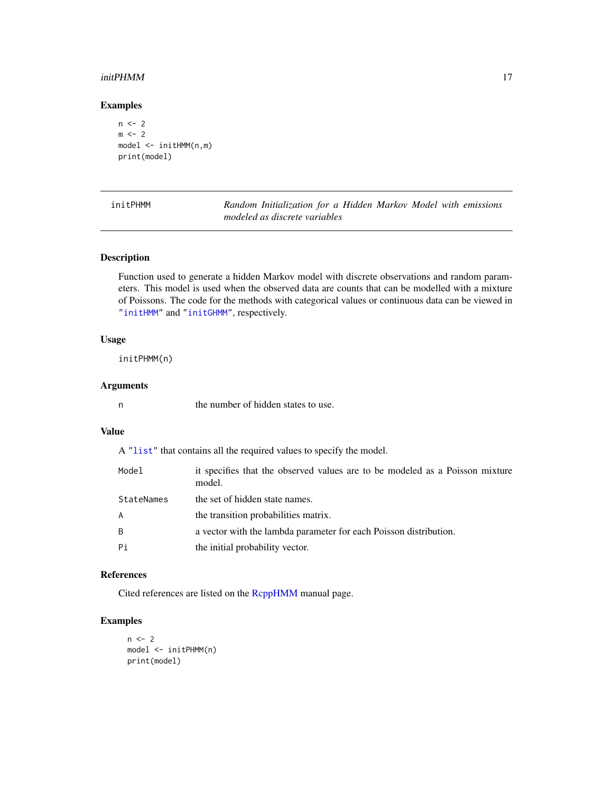#### <span id="page-16-0"></span> $\mu$ init $\rm PHMM$  17

# Examples

```
n < -2m < -2model <- initHMM(n,m)
print(model)
```
<span id="page-16-1"></span>initPHMM *Random Initialization for a Hidden Markov Model with emissions modeled as discrete variables*

# Description

Function used to generate a hidden Markov model with discrete observations and random parameters. This model is used when the observed data are counts that can be modelled with a mixture of Poissons. The code for the methods with categorical values or continuous data can be viewed in ["initHMM"](#page-15-1) and ["initGHMM"](#page-14-1), respectively.

#### Usage

initPHMM(n)

# Arguments

n the number of hidden states to use.

## Value

A ["list"](#page-0-0) that contains all the required values to specify the model.

| Model      | it specifies that the observed values are to be modeled as a Poisson mixture<br>model. |
|------------|----------------------------------------------------------------------------------------|
| StateNames | the set of hidden state names.                                                         |
| A          | the transition probabilities matrix.                                                   |
| B          | a vector with the lambda parameter for each Poisson distribution.                      |
| Pi         | the initial probability vector.                                                        |

# References

Cited references are listed on the [RcppHMM](#page-1-1) manual page.

```
n < -2model <- initPHMM(n)
print(model)
```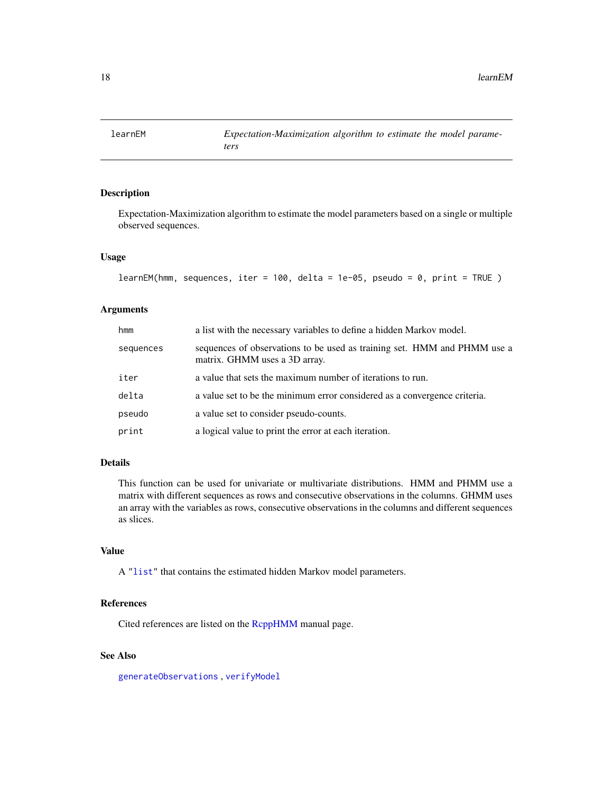<span id="page-17-0"></span>

# Description

Expectation-Maximization algorithm to estimate the model parameters based on a single or multiple observed sequences.

#### Usage

```
learnEM(hmm, sequences, iter = 100, delta = 1e-05, pseudo = 0, print = TRUE )
```
# Arguments

| hmm       | a list with the necessary variables to define a hidden Markov model.                                      |
|-----------|-----------------------------------------------------------------------------------------------------------|
| sequences | sequences of observations to be used as training set. HMM and PHMM use a<br>matrix. GHMM uses a 3D array. |
| iter      | a value that sets the maximum number of iterations to run.                                                |
| delta     | a value set to be the minimum error considered as a convergence criteria.                                 |
| pseudo    | a value set to consider pseudo-counts.                                                                    |
| print     | a logical value to print the error at each iteration.                                                     |

# Details

This function can be used for univariate or multivariate distributions. HMM and PHMM use a matrix with different sequences as rows and consecutive observations in the columns. GHMM uses an array with the variables as rows, consecutive observations in the columns and different sequences as slices.

# Value

A ["list"](#page-0-0) that contains the estimated hidden Markov model parameters.

# References

Cited references are listed on the [RcppHMM](#page-1-1) manual page.

# See Also

[generateObservations](#page-11-1) , [verifyModel](#page-29-1)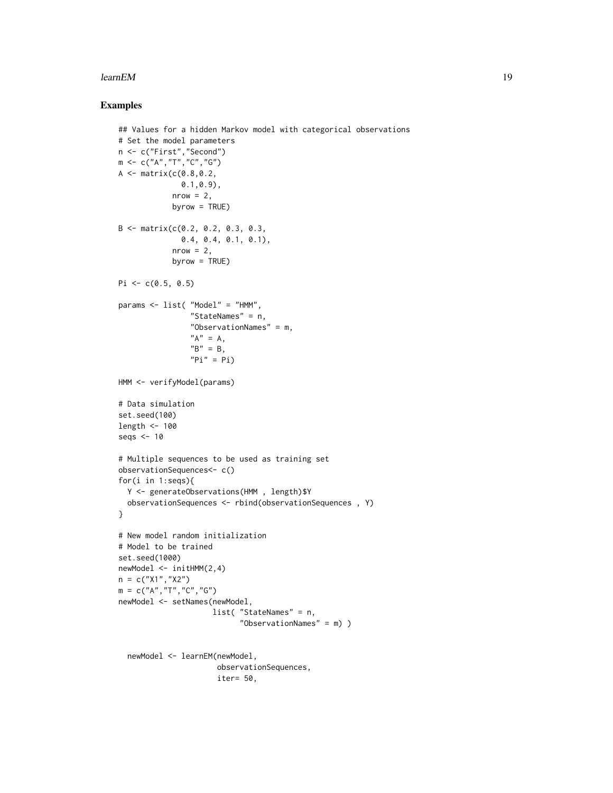### learnEM  $\sim$  19

```
## Values for a hidden Markov model with categorical observations
# Set the model parameters
n <- c("First","Second")
m <- c("A","T","C","G")
A \leq - matrix(c(0.8, 0.2,0.1,0.9),
            nrow = 2,
            byrow = TRUE)
B <- matrix(c(0.2, 0.2, 0.3, 0.3,
              0.4, 0.4, 0.1, 0.1),
            nrow = 2,byrow = TRUE)
Pi \leq c(0.5, 0.5)params <- list( "Model" = "HMM",
                "StateNames" = n,
                "ObservationNames" = m,
                "A" = A,"B" = B,"Pi" = Pi)HMM <- verifyModel(params)
# Data simulation
set.seed(100)
length <- 100
seqs <- 10
# Multiple sequences to be used as training set
observationSequences<- c()
for(i in 1:seqs){
  Y <- generateObservations(HMM , length)$Y
  observationSequences <- rbind(observationSequences , Y)
}
# New model random initialization
# Model to be trained
set.seed(1000)
newModel <- initHMM(2,4)
n = c("X1", "X2")m = c("A", "T", "C", "G")newModel <- setNames(newModel,
                     list( "StateNames" = n,
                           "ObservationNames" = m) )
  newModel <- learnEM(newModel,
                      observationSequences,
                      iter= 50,
```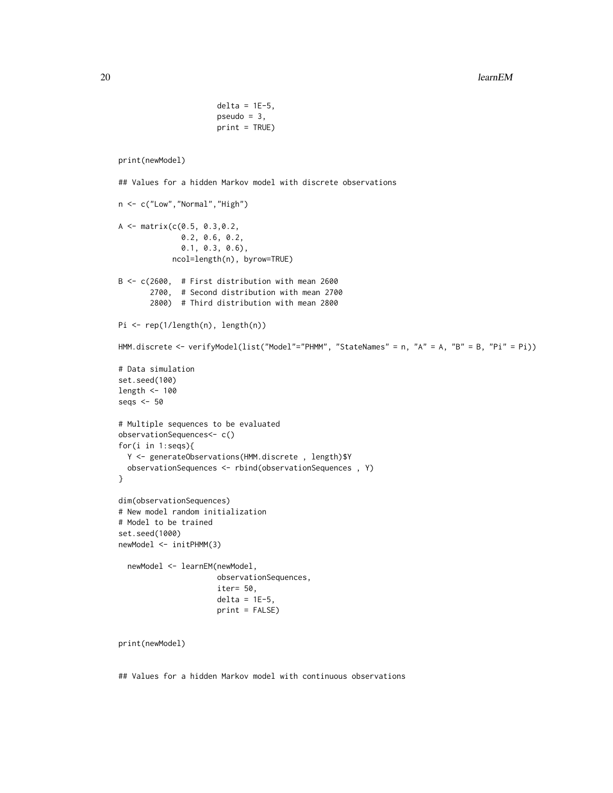```
delta = 1E-5,
                      pseudo = 3,
                      print = TRUE)
print(newModel)
## Values for a hidden Markov model with discrete observations
n <- c("Low","Normal","High")
A <- matrix(c(0.5, 0.3,0.2,
             0.2, 0.6, 0.2,
              0.1, 0.3, 0.6),
            ncol=length(n), byrow=TRUE)
B <- c(2600, # First distribution with mean 2600
      2700, # Second distribution with mean 2700
      2800) # Third distribution with mean 2800
Pi <- rep(1/length(n), length(n))
HMM.discrete <- verifyModel(list("Model"="PHMM", "StateNames" = n, "A" = A, "B" = B, "Pi" = Pi))
# Data simulation
set.seed(100)
length <- 100
seqs <- 50
# Multiple sequences to be evaluated
observationSequences<- c()
for(i in 1:seqs){
 Y <- generateObservations(HMM.discrete , length)$Y
 observationSequences <- rbind(observationSequences , Y)
}
dim(observationSequences)
# New model random initialization
# Model to be trained
set.seed(1000)
newModel <- initPHMM(3)
 newModel <- learnEM(newModel,
                     observationSequences,
                      iter= 50,
                      delta = 1E-5,
                     print = FALSE)
print(newModel)
```
## Values for a hidden Markov model with continuous observations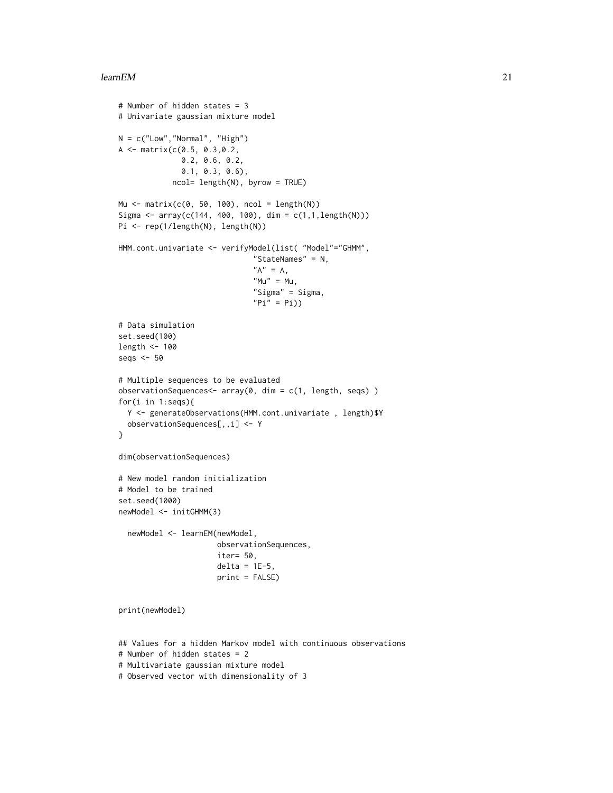#### learnEM  $21$

```
# Number of hidden states = 3
# Univariate gaussian mixture model
N = c("Low", "Normal", "High")A <- matrix(c(0.5, 0.3,0.2,
              0.2, 0.6, 0.2,
              0.1, 0.3, 0.6),
            ncol= length(N), byrow = TRUE)
Mu \leq matrix(c(0, 50, 100), ncol = length(N))
Sigma <- array(c(144, 400, 100), dim = c(1,1, length(N)))Pi <- rep(1/length(N), length(N))
HMM.cont.univariate <- verifyModel(list( "Model"="GHMM",
                              "StateNames" = N,
                              "A" = A,M'''' = Mu,
                              "Sigma" = Sigma,
                              "Pi" = Pi)# Data simulation
set.seed(100)
length <- 100
seqs <- 50
# Multiple sequences to be evaluated
observationSequences<- array(0, dim = c(1, length, seqs) )
for(i in 1:seqs){
  Y <- generateObservations(HMM.cont.univariate , length)$Y
  observationSequences[,,i] <- Y
}
dim(observationSequences)
# New model random initialization
# Model to be trained
set.seed(1000)
newModel <- initGHMM(3)
  newModel <- learnEM(newModel,
                      observationSequences,
                      iter= 50,
                      delta = 1E-5,
                      print = FALSE)
print(newModel)
## Values for a hidden Markov model with continuous observations
# Number of hidden states = 2
```
# Multivariate gaussian mixture model

# Observed vector with dimensionality of 3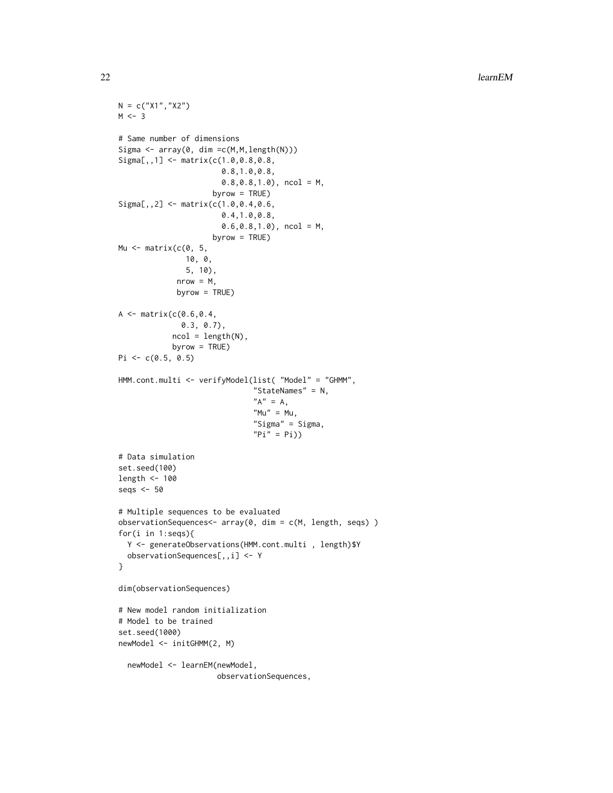```
N = c("X1", "X2")M < -3# Same number of dimensions
Sigma \leq array(0, dim = c(M, M, length(N)))
Sigma[,,1] <- matrix(c(1.0,0.8,0.8,
                       0.8,1.0,0.8,
                       0.8,0.8,1.0), ncol = M,
                     byrow = TRUE)
Signa[,, 2] <- matrix(c(1.0, 0.4, 0.6,0.4,1.0,0.8,
                       0.6, 0.8, 1.0, ncol = M,
                     byrow = TRUE)
Mu \leq matrix(c(0, 5,
               10, 0,
               5, 10),
             nrow = M,
             byrow = TRUE)
A \leq - matrix(c(0.6, 0.4,0.3, 0.7),
            ncol = length(N),byrow = TRUE)
Pi \leq c(0.5, 0.5)HMM.cont.multi <- verifyModel(list( "Model" = "GHMM",
                               "StateNames" = N,
                               "A" = A,"Mu" = Mu,
                               "Sigma" = Sigma,
                               "Pi" = Pi)# Data simulation
set.seed(100)
length <- 100
seqs <- 50
# Multiple sequences to be evaluated
observationSequences<- array(0, dim = c(M, length, seqs) )
for(i in 1:seqs){
  Y <- generateObservations(HMM.cont.multi , length)$Y
  observationSequences[,,i] <- Y
}
dim(observationSequences)
# New model random initialization
# Model to be trained
set.seed(1000)
newModel <- initGHMM(2, M)
  newModel <- learnEM(newModel,
                      observationSequences,
```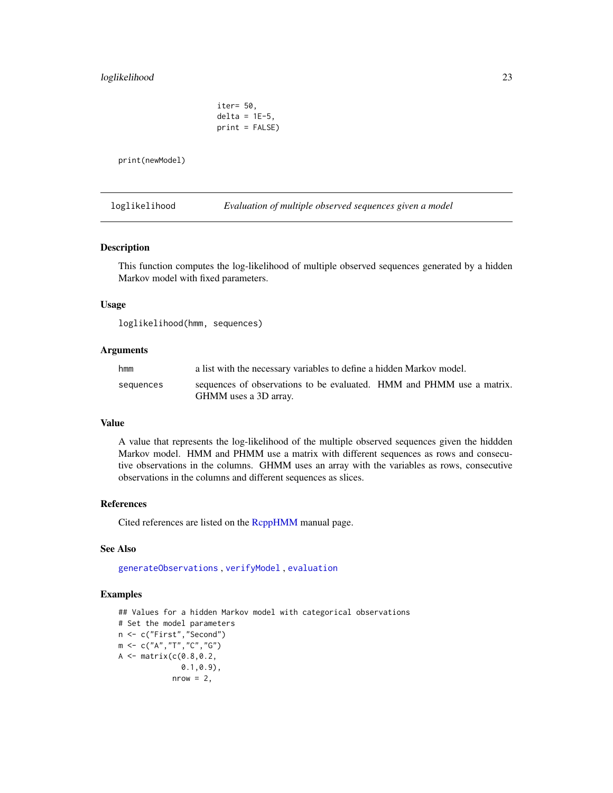# <span id="page-22-0"></span>loglikelihood 23

iter= 50, delta =  $1E-5$ , print = FALSE)

print(newModel)

<span id="page-22-1"></span>loglikelihood *Evaluation of multiple observed sequences given a model*

# Description

This function computes the log-likelihood of multiple observed sequences generated by a hidden Markov model with fixed parameters.

# Usage

loglikelihood(hmm, sequences)

#### Arguments

| hmm       | a list with the necessary variables to define a hidden Markov model.                           |  |
|-----------|------------------------------------------------------------------------------------------------|--|
| sequences | sequences of observations to be evaluated. HMM and PHMM use a matrix.<br>GHMM uses a 3D array. |  |

#### Value

A value that represents the log-likelihood of the multiple observed sequences given the hiddden Markov model. HMM and PHMM use a matrix with different sequences as rows and consecutive observations in the columns. GHMM uses an array with the variables as rows, consecutive observations in the columns and different sequences as slices.

#### References

Cited references are listed on the [RcppHMM](#page-1-1) manual page.

#### See Also

[generateObservations](#page-11-1) , [verifyModel](#page-29-1) , [evaluation](#page-4-1)

```
## Values for a hidden Markov model with categorical observations
# Set the model parameters
n <- c("First","Second")
m <- c("A","T","C","G")
A \leq - matrix(c(0.8, 0.2,0.1,0.9),
            nrow = 2,
```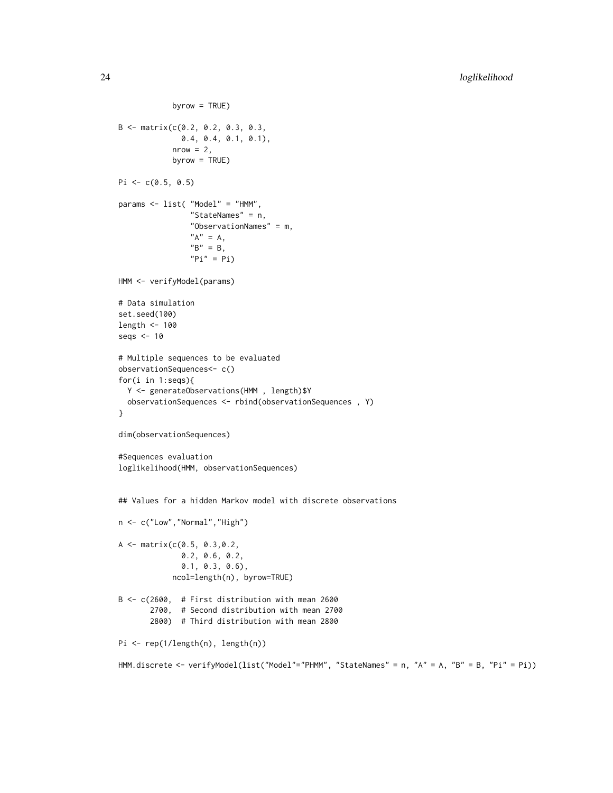```
byrow = TRUE)
B <- matrix(c(0.2, 0.2, 0.3, 0.3,
              0.4, 0.4, 0.1, 0.1),
            nrow = 2,
            byrow = TRUE)
Pi <- c(0.5, 0.5)params <- list( "Model" = "HMM",
                "StateNames" = n,
                "ObservationNames" = m,
                "A" = A,"B" = B,"Pi" = Pi)HMM <- verifyModel(params)
# Data simulation
set.seed(100)
length <- 100
seqs <- 10
# Multiple sequences to be evaluated
observationSequences<- c()
for(i in 1:seqs){
 Y <- generateObservations(HMM , length)$Y
  observationSequences <- rbind(observationSequences , Y)
}
dim(observationSequences)
#Sequences evaluation
loglikelihood(HMM, observationSequences)
## Values for a hidden Markov model with discrete observations
n <- c("Low","Normal","High")
A \leq - matrix(c(0.5, 0.3,0.2,
              0.2, 0.6, 0.2,
              0.1, 0.3, 0.6),
            ncol=length(n), byrow=TRUE)
B <- c(2600, # First distribution with mean 2600
       2700, # Second distribution with mean 2700
       2800) # Third distribution with mean 2800
Pi <- rep(1/length(n), length(n))
HMM.discrete <- verifyModel(list("Model"="PHMM", "StateNames" = n, "A" = A, "B" = B, "Pi" = Pi))
```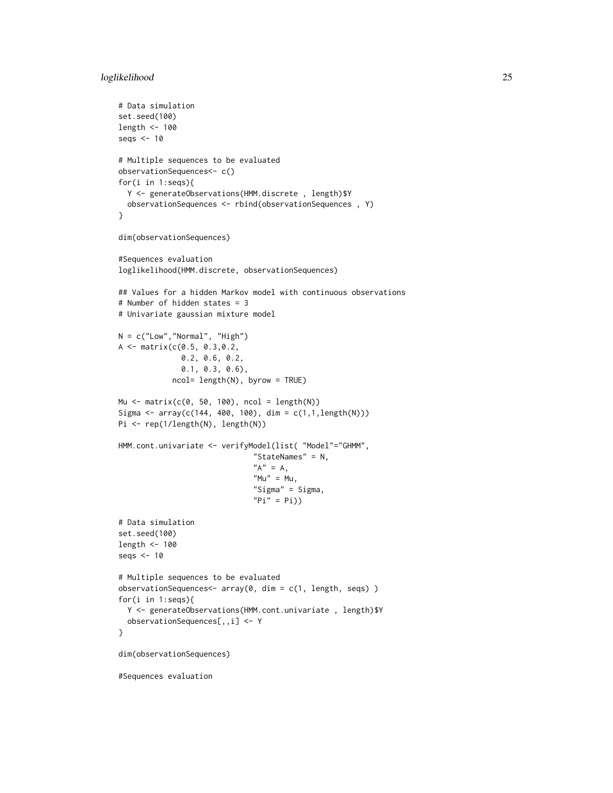# loglikelihood 25

```
# Data simulation
set.seed(100)
length <- 100
seqs <-10# Multiple sequences to be evaluated
observationSequences<- c()
for(i in 1:seqs){
  Y <- generateObservations(HMM.discrete , length)$Y
  observationSequences <- rbind(observationSequences , Y)
}
dim(observationSequences)
#Sequences evaluation
loglikelihood(HMM.discrete, observationSequences)
## Values for a hidden Markov model with continuous observations
# Number of hidden states = 3
# Univariate gaussian mixture model
N = c("Low", "Normal", "High")A <- matrix(c(0.5, 0.3,0.2,
              0.2, 0.6, 0.2,
              0.1, 0.3, 0.6),
            ncol= length(N), byrow = TRUE)
Mu <- matrix(c(0, 50, 100), ncol = length(N))
Sigma <- array(c(144, 400, 100), dim = c(1,1,length(N)))
Pi <- rep(1/length(N), length(N))
HMM.cont.univariate <- verifyModel(list( "Model"="GHMM",
                              "StateNames" = N,
                              "A" = A,M'' = Mu,
                              "Sigma" = Sigma,
                              "Pi" = Pi)# Data simulation
set.seed(100)
length <- 100
seqs <- 10
# Multiple sequences to be evaluated
observationSequences<- array(0, dim = c(1, length, seqs) )
for(i in 1:seqs){
  Y <- generateObservations(HMM.cont.univariate , length)$Y
  observationSequences[,,i] <- Y
}
dim(observationSequences)
#Sequences evaluation
```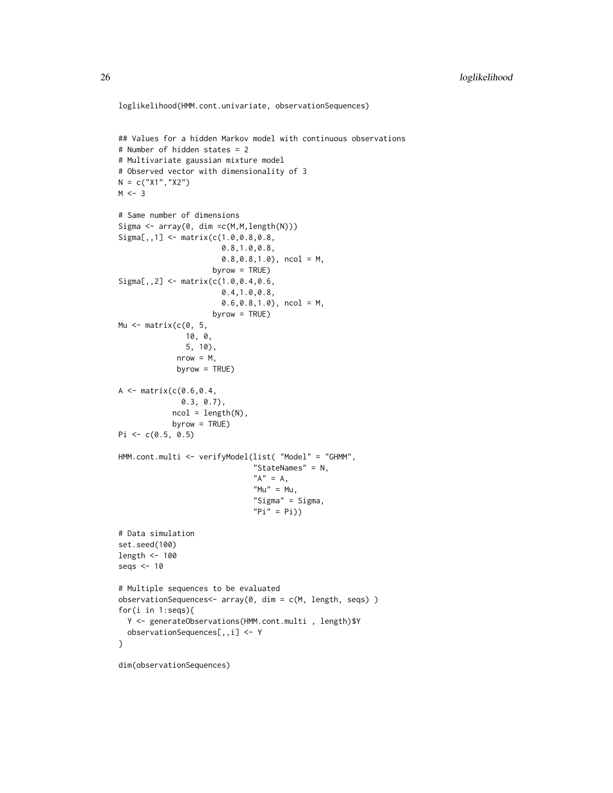```
loglikelihood(HMM.cont.univariate, observationSequences)
## Values for a hidden Markov model with continuous observations
# Number of hidden states = 2
# Multivariate gaussian mixture model
# Observed vector with dimensionality of 3
N = c("X1", "X2")M < -3# Same number of dimensions
Sigma <- array(0, dim =c(M,M,length(N)))
Signa[,, 1] <- matrix(c(1.0, 0.8, 0.8, 0.8)0.8,1.0,0.8,
                       0.8, 0.8, 1.0, ncol = M,
                     byrow = TRUE)
Sigma[,,2] <- matrix(c(1.0,0.4,0.6,
                       0.4,1.0,0.8,
                       0.6,0.8,1.0), ncol = M,
                     byrow = TRUE)
Mu \leq matrix(c(0, 5,
              10, 0,
               5, 10),
             nrow = M,
             byrow = TRUE)
A \leq - matrix(c(0.6, 0.4,0.3, 0.7),
            ncol = length(N),
            byrow = TRUE)
Pi \leq c(0.5, 0.5)HMM.cont.multi <- verifyModel(list( "Model" = "GHMM",
                               "StateNames" = N,
                               "A" = A,M'' = Mu,
                               "Sigma" = Sigma,
                               "Pi" = Pi)# Data simulation
set.seed(100)
length <- 100
seqs <- 10
# Multiple sequences to be evaluated
observationSequences<- array(0, dim = c(M, length, seqs) )
for(i in 1:seqs){
  Y <- generateObservations(HMM.cont.multi , length)$Y
  observationSequences[,,i] <- Y
}
```
dim(observationSequences)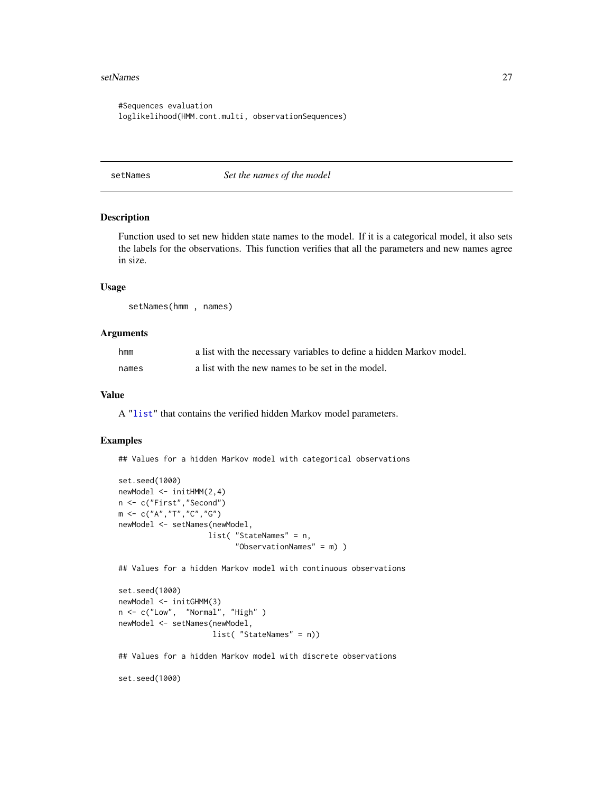#### <span id="page-26-0"></span>setNames 27

```
#Sequences evaluation
loglikelihood(HMM.cont.multi, observationSequences)
```
setNames *Set the names of the model*

# Description

Function used to set new hidden state names to the model. If it is a categorical model, it also sets the labels for the observations. This function verifies that all the parameters and new names agree in size.

#### Usage

setNames(hmm , names)

#### Arguments

| hmm   | a list with the necessary variables to define a hidden Markov model. |
|-------|----------------------------------------------------------------------|
| names | a list with the new names to be set in the model.                    |

#### Value

A ["list"](#page-0-0) that contains the verified hidden Markov model parameters.

#### Examples

## Values for a hidden Markov model with categorical observations

```
set.seed(1000)
newModel <- initHMM(2,4)
n <- c("First","Second")
m \leq C("A", "T", "C", "G")newModel <- setNames(newModel,
                    list( "StateNames" = n,
                           "ObservationNames" = m) )
```
## Values for a hidden Markov model with continuous observations

```
set.seed(1000)
newModel <- initGHMM(3)
n <- c("Low", "Normal", "High" )
newModel <- setNames(newModel,
                     list( "StateNames" = n))
```
## Values for a hidden Markov model with discrete observations

set.seed(1000)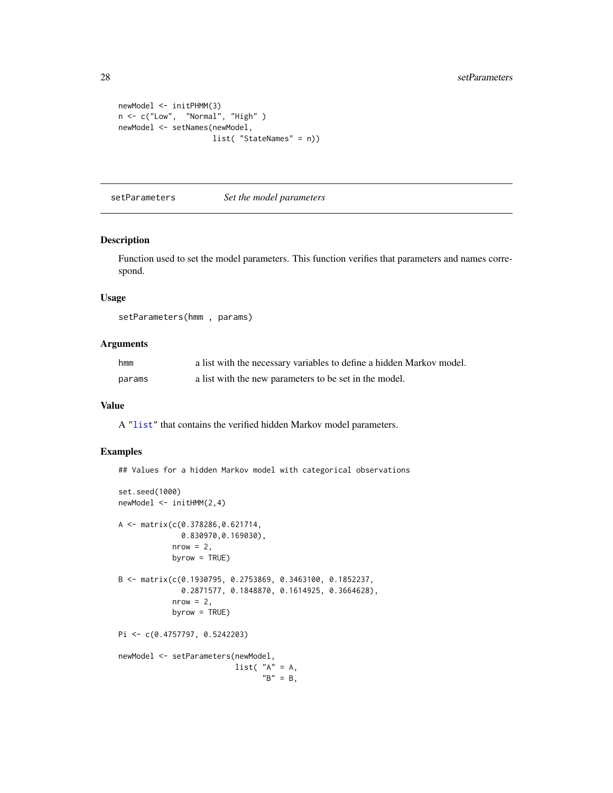```
newModel <- initPHMM(3)
n <- c("Low", "Normal", "High" )
newModel <- setNames(newModel,
                    list( "StateNames" = n))
```
setParameters *Set the model parameters*

#### Description

Function used to set the model parameters. This function verifies that parameters and names correspond.

#### Usage

setParameters(hmm , params)

### Arguments

| hmm    | a list with the necessary variables to define a hidden Markov model. |
|--------|----------------------------------------------------------------------|
| params | a list with the new parameters to be set in the model.               |

# Value

A ["list"](#page-0-0) that contains the verified hidden Markov model parameters.

# Examples

## Values for a hidden Markov model with categorical observations

```
set.seed(1000)
newModel <- initHMM(2,4)
A <- matrix(c(0.378286,0.621714,
              0.830970,0.169030),
            nrow = 2,
            byrow = TRUE)
B <- matrix(c(0.1930795, 0.2753869, 0.3463100, 0.1852237,
              0.2871577, 0.1848870, 0.1614925, 0.3664628),
            nrow = 2,
            byrow = TRUE)
Pi <- c(0.4757797, 0.5242203)
newModel <- setParameters(newModel,
                          list("A" = A,
                                "B" = B,
```
<span id="page-27-0"></span>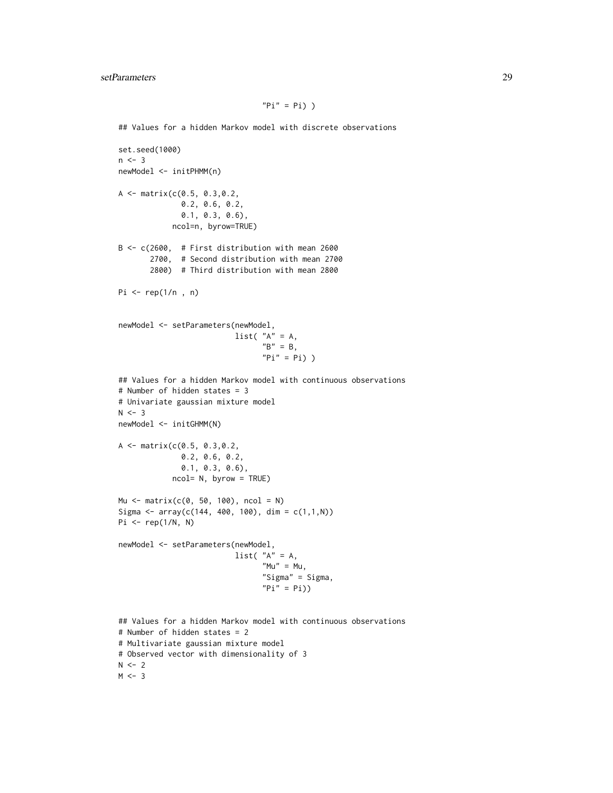## Values for a hidden Markov model with discrete observations

```
set.seed(1000)
n \leq -3newModel <- initPHMM(n)
A \leq - matrix(c(0.5, 0.3,0.2,
              0.2, 0.6, 0.2,
              0.1, 0.3, 0.6),
            ncol=n, byrow=TRUE)
B <- c(2600, # First distribution with mean 2600
       2700, # Second distribution with mean 2700
       2800) # Third distribution with mean 2800
Pi \leq rep(1/n, n)
newModel <- setParameters(newModel,
                          list("A" = A,
                                "B" = B,"Pi" = Pi))
## Values for a hidden Markov model with continuous observations
# Number of hidden states = 3
# Univariate gaussian mixture model
N < -3newModel <- initGHMM(N)
A <- matrix(c(0.5, 0.3,0.2,
              0.2, 0.6, 0.2,
              0.1, 0.3, 0.6),
            ncol= N, byrow = TRUE)
Mu <- matrix(c(0, 50, 100), ncol = N)
Sigma <- array(c(144, 400, 100), dim = c(1,1,N))
Pi \leftarrow rep(1/N, N)newModel <- setParameters(newModel,
                          list( "A" = A,
                                 "Mu" = Mu,"Sigma" = Sigma,
                                "Pi" = Pi)## Values for a hidden Markov model with continuous observations
# Number of hidden states = 2
# Multivariate gaussian mixture model
# Observed vector with dimensionality of 3
N < -2
```
 $M < -3$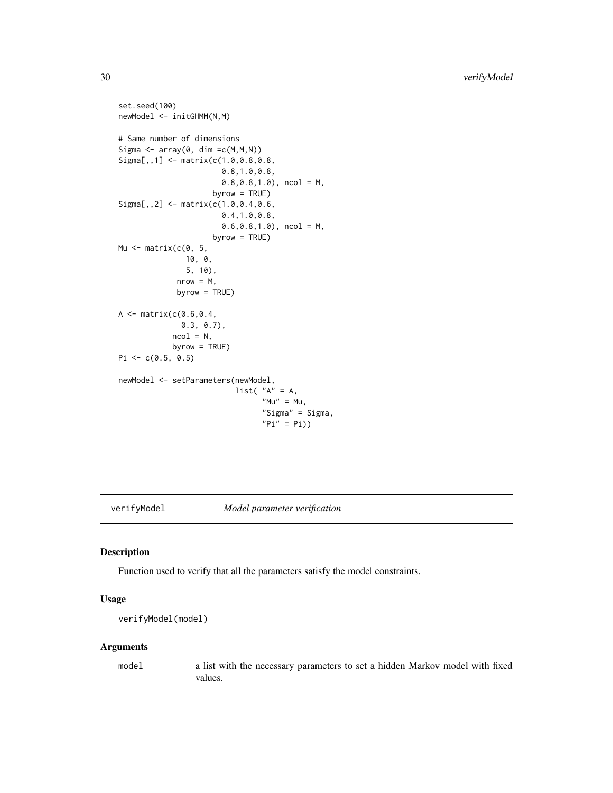```
set.seed(100)
newModel <- initGHMM(N,M)
# Same number of dimensions
Sigma \leq array(0, dim =c(M,M,N))
Signa[,, 1] <- matrix(c(1.0,0.8,0.8,
                        0.8,1.0,0.8,
                        0.8,0.8,1.0), ncol = M,
                     byrow = TRUE)
Signa[,, 2] <- matrix(c(1.0, 0.4, 0.6,0.4,1.0,0.8,
                        0.6,0.8,1.0), ncol = M,
                      byrow = TRUE)
Mu \leq matrix(c(0, 5,
               10, 0,
               5, 10),
             nrow = M,
             byrow = TRUE)
A \leq - matrix(c(0.6, 0.4,0.3, 0.7),
            ncol = N,
            byrow = TRUE)
Pi <- c(0.5, 0.5)newModel <- setParameters(newModel,
                           list( "A" = A,
                                 M'''' = Mu,
                                 "Sigma" = Sigma,
                                 "Pi" = Pi)
```
<span id="page-29-1"></span>verifyModel *Model parameter verification*

#### Description

Function used to verify that all the parameters satisfy the model constraints.

# Usage

```
verifyModel(model)
```
# Arguments

model a list with the necessary parameters to set a hidden Markov model with fixed values.

<span id="page-29-0"></span>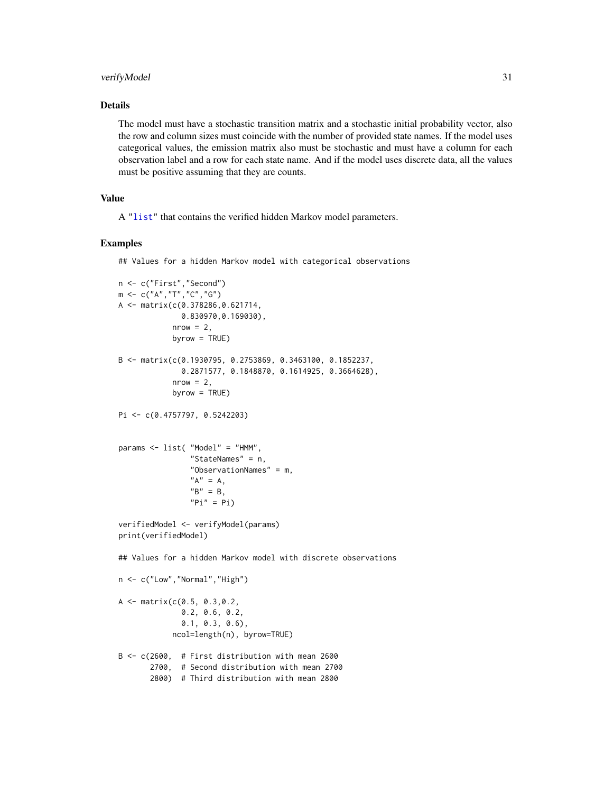# <span id="page-30-0"></span>verifyModel 31

# Details

The model must have a stochastic transition matrix and a stochastic initial probability vector, also the row and column sizes must coincide with the number of provided state names. If the model uses categorical values, the emission matrix also must be stochastic and must have a column for each observation label and a row for each state name. And if the model uses discrete data, all the values must be positive assuming that they are counts.

# Value

A ["list"](#page-0-0) that contains the verified hidden Markov model parameters.

#### Examples

## Values for a hidden Markov model with categorical observations

```
n <- c("First","Second")
m <- c("A","T","C","G")
A <- matrix(c(0.378286,0.621714,
              0.830970,0.169030),
            nrow = 2,
            byrow = TRUE)
B <- matrix(c(0.1930795, 0.2753869, 0.3463100, 0.1852237,
              0.2871577, 0.1848870, 0.1614925, 0.3664628),
            nrow = 2,
            byrow = TRUE)
Pi <- c(0.4757797, 0.5242203)
params <- list( "Model" = "HMM",
                "StateNames" = n,
                "ObservationNames" = m,
                "A" = A,"B" = B,"Pi" = Pi)verifiedModel <- verifyModel(params)
print(verifiedModel)
## Values for a hidden Markov model with discrete observations
n <- c("Low","Normal","High")
A <- matrix(c(0.5, 0.3,0.2,
              0.2, 0.6, 0.2,
              0.1, 0.3, 0.6),
            ncol=length(n), byrow=TRUE)
B <- c(2600, # First distribution with mean 2600
       2700, # Second distribution with mean 2700
       2800) # Third distribution with mean 2800
```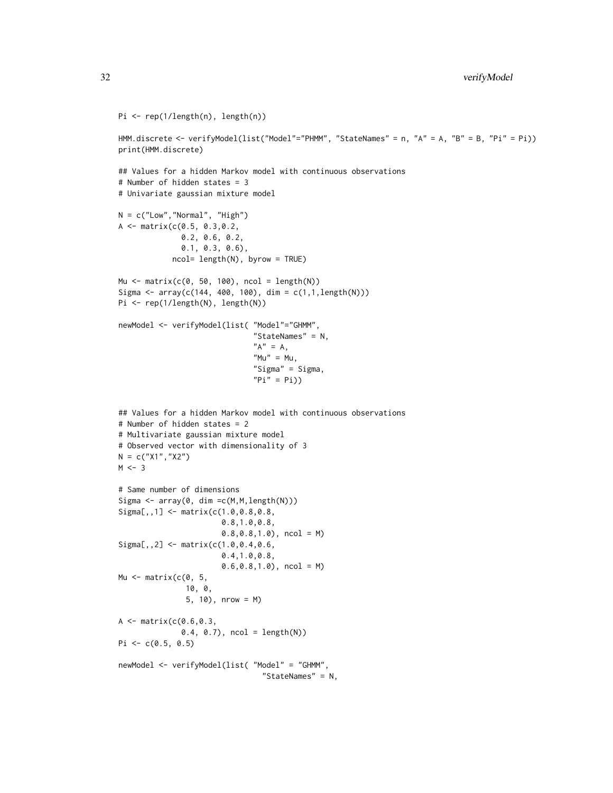```
Pi <- rep(1/length(n), length(n))
```

```
HMM.discrete <- verifyModel(list("Model"="PHMM", "StateNames" = n, "A" = A, "B" = B, "Pi" = Pi))
print(HMM.discrete)
```

```
## Values for a hidden Markov model with continuous observations
# Number of hidden states = 3
# Univariate gaussian mixture model
N = c("Low","Normal", "High")
A <- matrix(c(0.5, 0.3,0.2,
              0.2, 0.6, 0.2,
              0.1, 0.3, 0.6),
            ncol= length(N), byrow = TRUE)
Mu <- matrix(c(0, 50, 100), ncol = length(N))
Sigma <- array(c(144, 400, 100), dim = c(1,1,length(N)))
Pi <- rep(1/length(N), length(N))
newModel <- verifyModel(list( "Model"="GHMM",
                              "StateNames" = N,
                              "A" = A,M'''' = Mu,
                              "Sigma" = Sigma,
                              "Pi" = Pi))
## Values for a hidden Markov model with continuous observations
# Number of hidden states = 2
# Multivariate gaussian mixture model
# Observed vector with dimensionality of 3
N = c("X1", "X2")M < -3# Same number of dimensions
Sigma <- array(0, dim =c(M,M,length(N)))
Sigma[,,1] <- matrix(c(1.0,0.8,0.8,
                       0.8,1.0,0.8,
                       0.8, 0.8, 1.0, ncol = M)
Sigma[,,2] <- matrix(c(1.0,0.4,0.6,
                       0.4,1.0,0.8,
                       0.6,0.8,1.0), ncol = M)
Mu <- matrix(c(0, 5,
               10, 0,
               5, 10), nrow = M)
A \leq - matrix(c(0.6, 0.3,0.4, 0.7), ncol = length(N))
Pi \leq c(0.5, 0.5)newModel <- verifyModel(list( "Model" = "GHMM",
                                "StateNames" = N,
```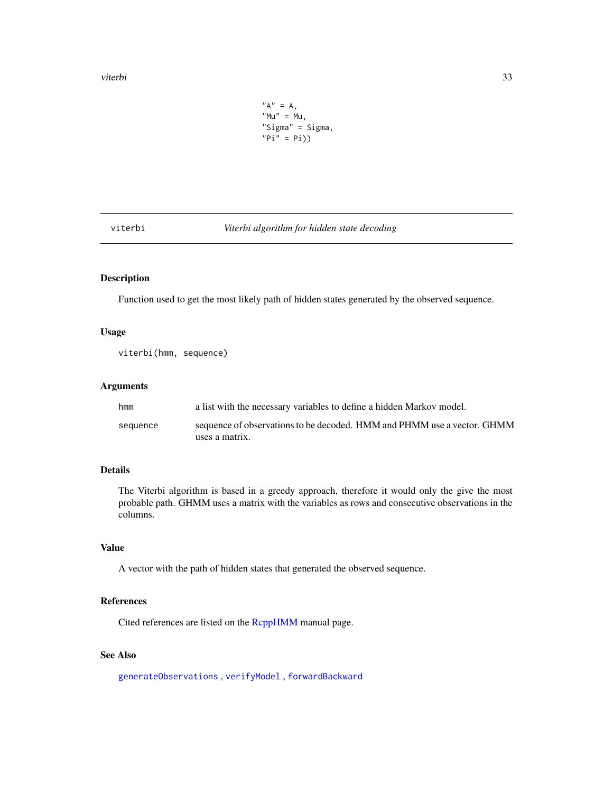```
"A" = A,"Mu" = Mu,"Sigma" = Sigma,
"Pi" = Pi)
```
<span id="page-32-1"></span><span id="page-32-0"></span>viterbi *Viterbi algorithm for hidden state decoding*

# Description

Function used to get the most likely path of hidden states generated by the observed sequence.

# Usage

viterbi(hmm, sequence)

# Arguments

| a list with the necessary variables to define a hidden Markov model.                      |
|-------------------------------------------------------------------------------------------|
| sequence of observations to be decoded. HMM and PHMM use a vector. GHMM<br>uses a matrix. |
|                                                                                           |

# Details

The Viterbi algorithm is based in a greedy approach, therefore it would only the give the most probable path. GHMM uses a matrix with the variables as rows and consecutive observations in the columns.

# Value

A vector with the path of hidden states that generated the observed sequence.

# References

Cited references are listed on the [RcppHMM](#page-1-1) manual page.

# See Also

[generateObservations](#page-11-1) , [verifyModel](#page-29-1) , [forwardBackward](#page-7-1)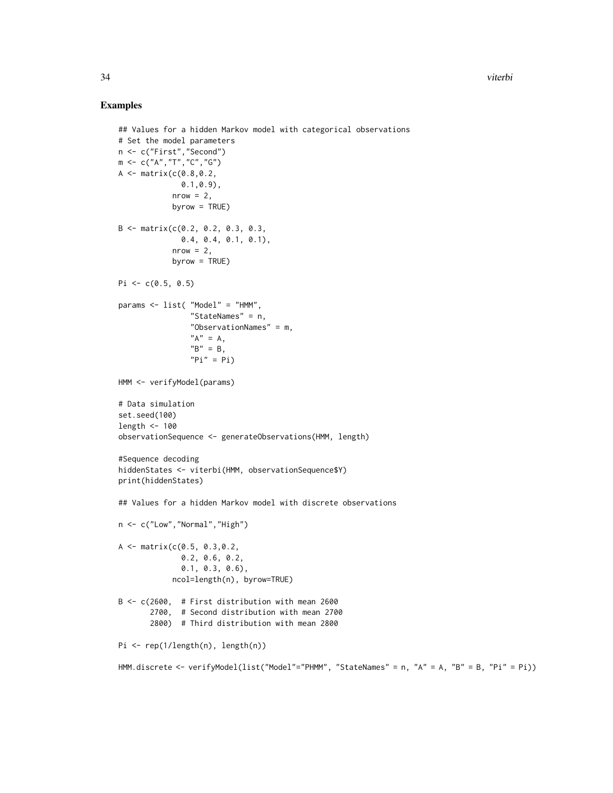```
## Values for a hidden Markov model with categorical observations
# Set the model parameters
n <- c("First","Second")
m <- c("A","T","C","G")
A \leq - matrix(c(0.8, 0.2,0.1,0.9),
            nrow = 2,
            byrow = TRUE)
B <- matrix(c(0.2, 0.2, 0.3, 0.3,
              0.4, 0.4, 0.1, 0.1),
            nrow = 2,byrow = TRUE)
Pi \leq c(0.5, 0.5)params <- list( "Model" = "HMM",
                "StateNames" = n,
                "ObservationNames" = m,
                "A" = A,"B" = B,"Pi" = Pi)HMM <- verifyModel(params)
# Data simulation
set.seed(100)
length <- 100
observationSequence <- generateObservations(HMM, length)
#Sequence decoding
hiddenStates <- viterbi(HMM, observationSequence$Y)
print(hiddenStates)
## Values for a hidden Markov model with discrete observations
n <- c("Low","Normal","High")
A \leq - matrix(c(0.5, 0.3, 0.2, 0.3)0.2, 0.6, 0.2,
              0.1, 0.3, 0.6),
            ncol=length(n), byrow=TRUE)
B <- c(2600, # First distribution with mean 2600
       2700, # Second distribution with mean 2700
       2800) # Third distribution with mean 2800
Pi <- rep(1/length(n), length(n))
HMM.discrete <- verifyModel(list("Model"="PHMM", "StateNames" = n, "A" = A, "B" = B, "Pi" = Pi))
```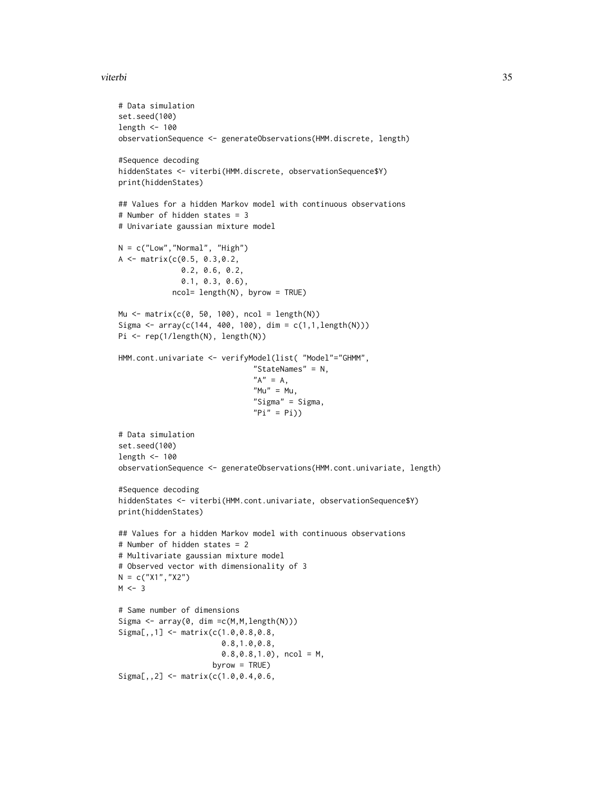#### viterbi 35

```
# Data simulation
set.seed(100)
length <- 100
observationSequence <- generateObservations(HMM.discrete, length)
#Sequence decoding
hiddenStates <- viterbi(HMM.discrete, observationSequence$Y)
print(hiddenStates)
## Values for a hidden Markov model with continuous observations
# Number of hidden states = 3
# Univariate gaussian mixture model
N = c("Low", "Normal", "High")A <- matrix(c(0.5, 0.3,0.2,
              0.2, 0.6, 0.2,
              0.1, 0.3, 0.6),
            ncol= length(N), byrow = TRUE)
Mu \le matrix(c(0, 50, 100), ncol = length(N))
Sigma <- array(c(144, 400, 100), dim = c(1,1, length(N)))Pi <- rep(1/length(N), length(N))
HMM.cont.univariate <- verifyModel(list( "Model"="GHMM",
                              "StateNames" = N,
                               "A" = A,"Mu" = Mu,"Sigma" = Sigma,
                              "Pi" = Pi))
# Data simulation
set.seed(100)
length <- 100
observationSequence <- generateObservations(HMM.cont.univariate, length)
#Sequence decoding
hiddenStates <- viterbi(HMM.cont.univariate, observationSequence$Y)
print(hiddenStates)
## Values for a hidden Markov model with continuous observations
# Number of hidden states = 2
# Multivariate gaussian mixture model
# Observed vector with dimensionality of 3
N = c("X1", "X2")M < -3# Same number of dimensions
Sigma \leq array(0, dim = c(M, M, length(N)))
Sigma[,,1] <- matrix(c(1.0,0.8,0.8,
                       0.8,1.0,0.8,
                       0.8, 0.8, 1.0, ncol = M,
                     byrow = TRUE)
Signa[,, 2] <- matrix(c(1.0, 0.4, 0.6,
```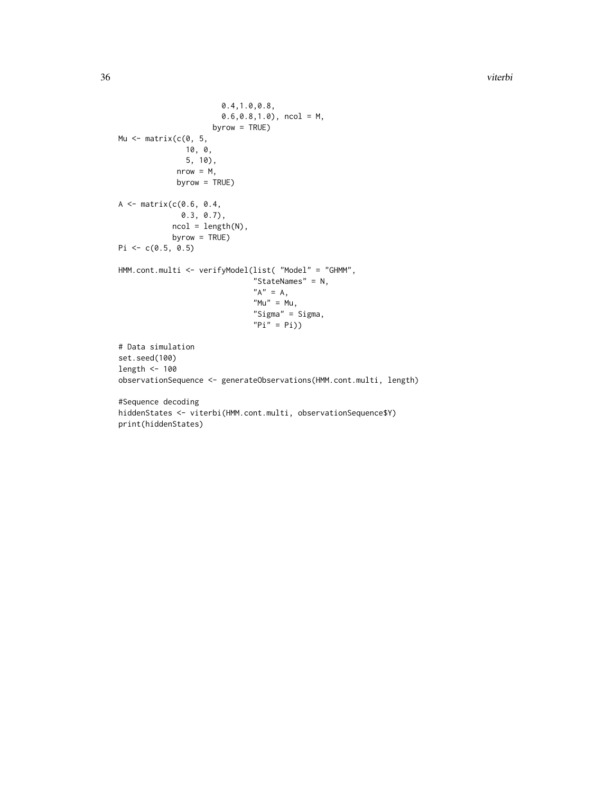36 viterbi

```
0.4,1.0,0.8,
                        0.6, 0.8, 1.0, ncol = M,
                     byrow = TRUE)
Mu \leq matrix(c(0, 5, 5)10, 0,
               5, 10),
             nrow = M,
             byrow = TRUE)
A \leftarrow \text{matrix}(c(0.6, 0.4,0.3, 0.7),
            ncol = length(N),
            byrow = TRUE)
Pi \leq c(0.5, 0.5)HMM.cont.multi <- verifyModel(list( "Model" = "GHMM",
                               "StateNames" = N,
                               "A" = A,M'''' = Mu,
                               "Sigma" = Sigma,
                               "Pi" = Pi)# Data simulation
set.seed(100)
length <- 100
observationSequence <- generateObservations(HMM.cont.multi, length)
#Sequence decoding
hiddenStates <- viterbi(HMM.cont.multi, observationSequence$Y)
print(hiddenStates)
```